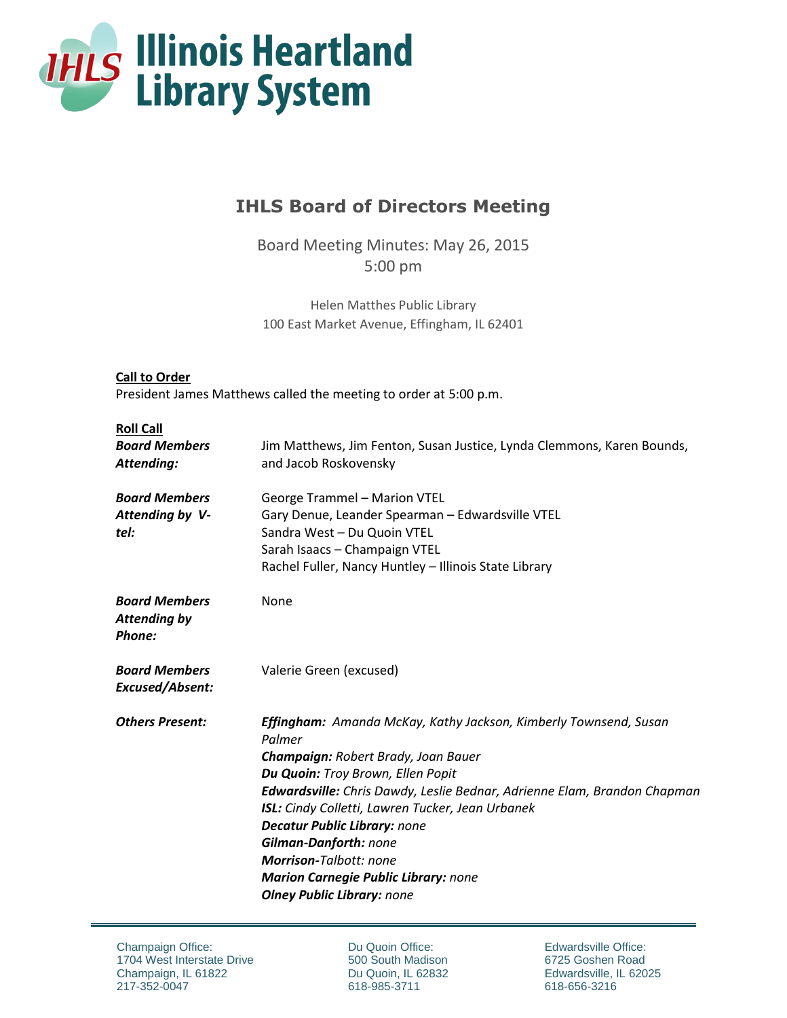

# **IHLS Board of Directors Meeting**

Board Meeting Minutes: May 26, 2015 5:00 pm

Helen Matthes Public Library 100 East Market Avenue, Effingham, IL 62401

# **Call to Order** President James Matthews called the meeting to order at 5:00 p.m.

# **Roll Call**

| non can<br><b>Board Members</b><br>Attending:         | Jim Matthews, Jim Fenton, Susan Justice, Lynda Clemmons, Karen Bounds,<br>and Jacob Roskovensky                                                                                                                                                                                                                                                                                                                                                                                                  |
|-------------------------------------------------------|--------------------------------------------------------------------------------------------------------------------------------------------------------------------------------------------------------------------------------------------------------------------------------------------------------------------------------------------------------------------------------------------------------------------------------------------------------------------------------------------------|
| <b>Board Members</b><br>Attending by V-<br>tel:       | <b>George Trammel - Marion VTEL</b><br>Gary Denue, Leander Spearman - Edwardsville VTEL<br>Sandra West - Du Quoin VTEL<br>Sarah Isaacs - Champaign VTEL<br>Rachel Fuller, Nancy Huntley - Illinois State Library                                                                                                                                                                                                                                                                                 |
| <b>Board Members</b><br><b>Attending by</b><br>Phone: | None                                                                                                                                                                                                                                                                                                                                                                                                                                                                                             |
| <b>Board Members</b><br>Excused/Absent:               | Valerie Green (excused)                                                                                                                                                                                                                                                                                                                                                                                                                                                                          |
| <b>Others Present:</b>                                | <b>Effingham:</b> Amanda McKay, Kathy Jackson, Kimberly Townsend, Susan<br>Palmer<br>Champaign: Robert Brady, Joan Bauer<br>Du Quoin: Troy Brown, Ellen Popit<br><b>Edwardsville:</b> Chris Dawdy, Leslie Bednar, Adrienne Elam, Brandon Chapman<br><b>ISL:</b> Cindy Colletti, Lawren Tucker, Jean Urbanek<br><b>Decatur Public Library: none</b><br>Gilman-Danforth: none<br><b>Morrison-Talbott: none</b><br><b>Marion Carnegie Public Library: none</b><br><b>Olney Public Library: none</b> |

Du Quoin Office: 500 South Madison Du Quoin, IL 62832 618-985-3711

Edwardsville Office: 6725 Goshen Road Edwardsville, IL 62025 618-656-3216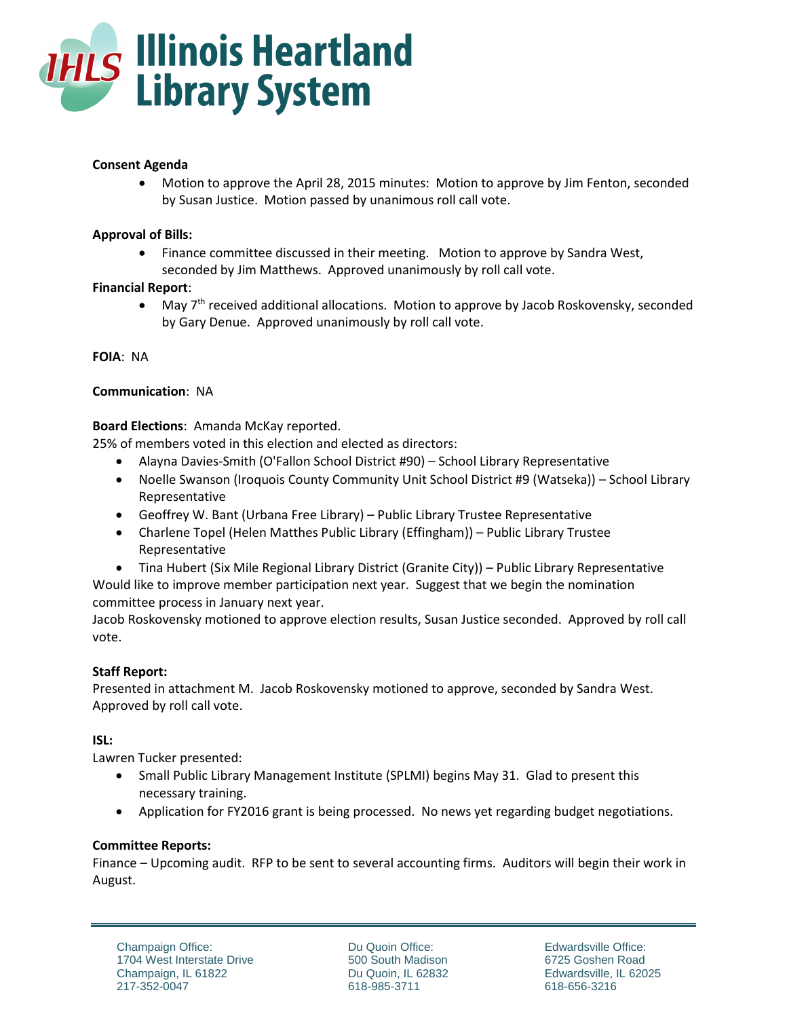

# **Consent Agenda**

 Motion to approve the April 28, 2015 minutes: Motion to approve by Jim Fenton, seconded by Susan Justice. Motion passed by unanimous roll call vote.

# **Approval of Bills:**

 Finance committee discussed in their meeting. Motion to approve by Sandra West, seconded by Jim Matthews. Approved unanimously by roll call vote.

# **Financial Report**:

 $\bullet$  May 7<sup>th</sup> received additional allocations. Motion to approve by Jacob Roskovensky, seconded by Gary Denue. Approved unanimously by roll call vote.

**FOIA**: NA

# **Communication**: NA

# **Board Elections**: Amanda McKay reported.

25% of members voted in this election and elected as directors:

- Alayna Davies-Smith (O'Fallon School District #90) School Library Representative
- Noelle Swanson (Iroquois County Community Unit School District #9 (Watseka)) School Library Representative
- Geoffrey W. Bant (Urbana Free Library) Public Library Trustee Representative
- Charlene Topel (Helen Matthes Public Library (Effingham)) Public Library Trustee Representative
- Tina Hubert (Six Mile Regional Library District (Granite City)) Public Library Representative

Would like to improve member participation next year. Suggest that we begin the nomination committee process in January next year.

Jacob Roskovensky motioned to approve election results, Susan Justice seconded. Approved by roll call vote.

# **Staff Report:**

Presented in attachment M. Jacob Roskovensky motioned to approve, seconded by Sandra West. Approved by roll call vote.

# **ISL:**

Lawren Tucker presented:

- Small Public Library Management Institute (SPLMI) begins May 31. Glad to present this necessary training.
- Application for FY2016 grant is being processed. No news yet regarding budget negotiations.

# **Committee Reports:**

Finance – Upcoming audit. RFP to be sent to several accounting firms. Auditors will begin their work in August.

Du Quoin Office: 500 South Madison Du Quoin, IL 62832 618-985-3711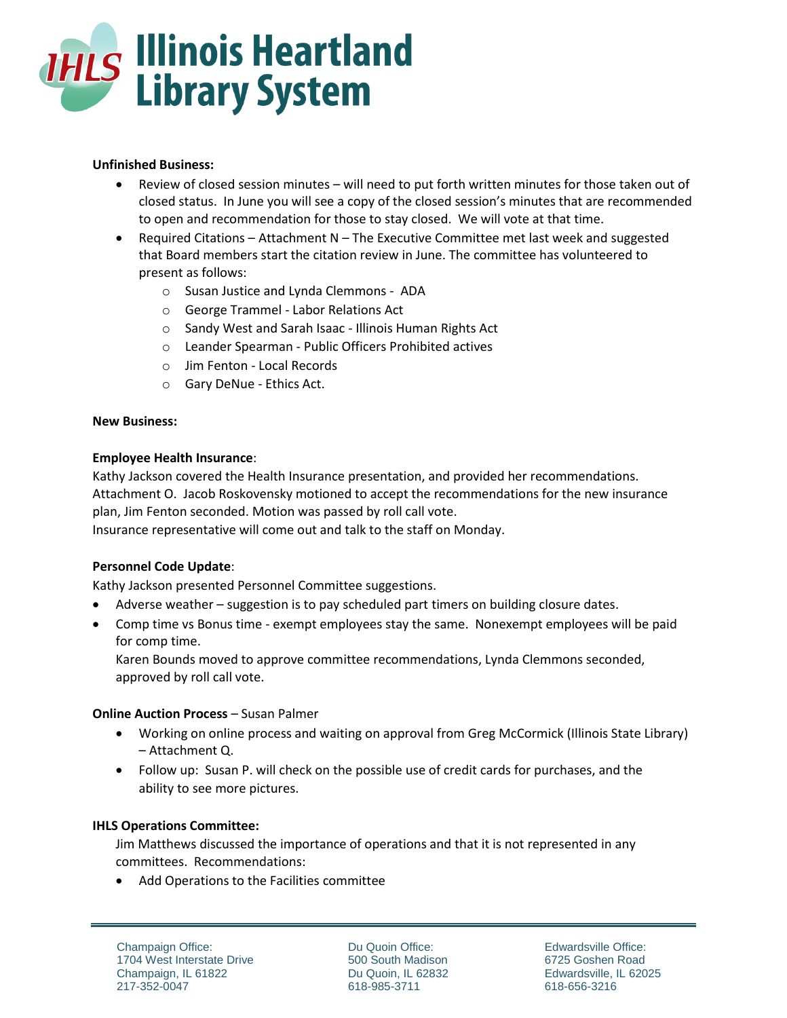

# **Unfinished Business:**

- Review of closed session minutes will need to put forth written minutes for those taken out of closed status. In June you will see a copy of the closed session's minutes that are recommended to open and recommendation for those to stay closed. We will vote at that time.
- **•** Required Citations Attachment  $N Th$ e Executive Committee met last week and suggested that Board members start the citation review in June. The committee has volunteered to present as follows:
	- o Susan Justice and Lynda Clemmons ADA
	- o George Trammel Labor Relations Act
	- o Sandy West and Sarah Isaac Illinois Human Rights Act
	- o Leander Spearman Public Officers Prohibited actives
	- o Jim Fenton Local Records
	- o Gary DeNue Ethics Act.

#### **New Business:**

#### **Employee Health Insurance**:

Kathy Jackson covered the Health Insurance presentation, and provided her recommendations. Attachment O. Jacob Roskovensky motioned to accept the recommendations for the new insurance plan, Jim Fenton seconded. Motion was passed by roll call vote.

Insurance representative will come out and talk to the staff on Monday.

# **Personnel Code Update**:

Kathy Jackson presented Personnel Committee suggestions.

- Adverse weather suggestion is to pay scheduled part timers on building closure dates.
- Comp time vs Bonus time exempt employees stay the same. Nonexempt employees will be paid for comp time.

Karen Bounds moved to approve committee recommendations, Lynda Clemmons seconded, approved by roll call vote.

# **Online Auction Process - Susan Palmer**

- Working on online process and waiting on approval from Greg McCormick (Illinois State Library) – Attachment Q.
- Follow up: Susan P. will check on the possible use of credit cards for purchases, and the ability to see more pictures.

# **IHLS Operations Committee:**

Jim Matthews discussed the importance of operations and that it is not represented in any committees. Recommendations:

Add Operations to the Facilities committee

Du Quoin Office: 500 South Madison Du Quoin, IL 62832 618-985-3711

Edwardsville Office: 6725 Goshen Road Edwardsville, IL 62025 618-656-3216